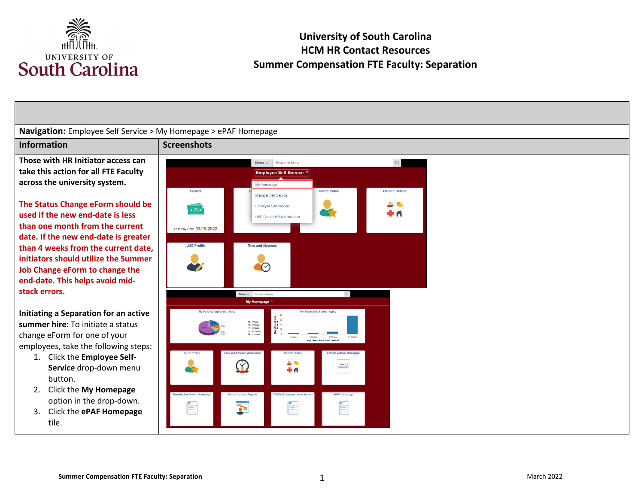

#### **Navigation:** Employee Self Service > My Homepage > ePAF Homepage **Information Screenshots Those with HR Initiator access can**  Menu v Search in Menu  $\hbox{\tt Q}$  **take this action for all FTE Faculty Employee Self Service ▽ across the university system.**  My Homepage Payroll **Talent Profile Benefit Details** Manager Self Service  **The Status Change eForm should be**   $2.74$ Employee Self Service  $\overline{\cdot \circ \cdot}$ **used if the new end-date is less USC Central HR Administrator than one month from the current**  Last Pay Date 03/15/2022 **date. If the new end-date is greater USC Profile** Time and Absence **than 4 weeks from the current date, initiators should utilize the Summer**   $\bigcirc$ **Job Change eForm to change the end-date. This helps avoid midstack errors.**  Menu v Search in Men My Homepage  $\overline{\triangledown}$ **Initiating a Separation for an active**  ding Approvals - Aging My Submitted eForms - Aging ■ 1 Week<br>■ 2 Weeks<br>■ 3 Weeks<br>■ 4+ Week<br>■ < 1 Wee **summer hire**: To initiate a status change eForm for one of your employees, take the following steps: 1. Click the **Employee Self-**上取  $(\times)$ PEOPLESOT **Service** drop-down menu **+A** button. 2. Click the **My Homepage**  option in the drop-down. E E É  $\overline{\mathbf{a}}$ 3. Click the **ePAF Homepage**  tile.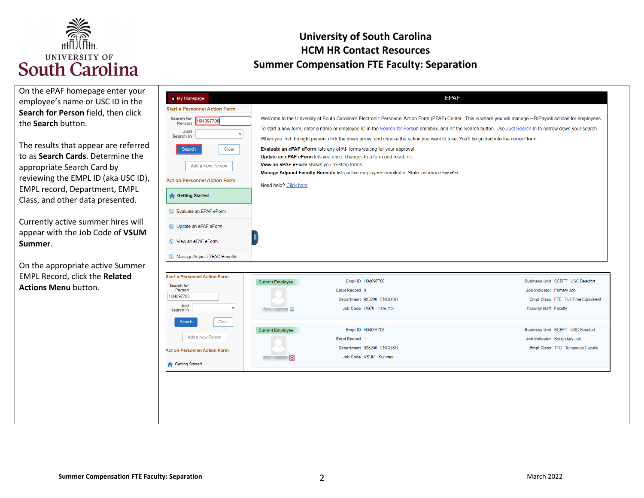

### **University of South Carolina HCM HR Contact Resources Summer Compensation FTE Faculty: Separation**

| On the ePAF homepage enter your<br>employee's name or USC ID in the<br>Search for Person field, then click<br>the Search button.<br>The results that appear are referred<br>to as Search Cards. Determine the<br>appropriate Search Card by<br>reviewing the EMPL ID (aka USC ID),<br>EMPL record, Department, EMPL<br>Class, and other data presented.<br>Currently active summer hires will<br>appear with the Job Code of VSUM<br>Summer. | < My Homepage<br><b>Start a Personnel Action Form</b><br>Search for<br>H04097708<br>Person<br>Just<br>$\checkmark$<br>Search In<br>Clear<br>Search<br>Add a New Person<br><b>Act on Personnel Action Form</b><br><b>Getting Started</b><br>Fvaluate an EPAF eForm<br><b>6</b> Update an ePAF eForm<br><b>1</b> View an ePAF eForm<br>Manage Adjunct TFAC Benefits | <b>EPAF</b><br>Welcome to the University of South Carolina's Electronic Personnel Action Form (EPAF) Center. This is where you will manage HR/Payroll actions for employees.<br>To start a new form, enter a name or employee ID in the Search for Person omnibox, and hit the Search button. Use Just Search In to narrow down your search.<br>When you find the right person, click the down arrow, and choose the action you want to take. You'll be guided into the correct form.<br>Evaluate an ePAF eForm lists any ePAF forms waiting for your approval.<br>Update an ePAF eForm lets you make changes to a form and resubmit.<br>View an ePAF eForm shows you existing forms.<br>Manage Adjunct Faculty Benefits lists active employees enrolled in State insurance benefits.<br>Need help? Click here |                                                                                                                                      |
|----------------------------------------------------------------------------------------------------------------------------------------------------------------------------------------------------------------------------------------------------------------------------------------------------------------------------------------------------------------------------------------------------------------------------------------------|-------------------------------------------------------------------------------------------------------------------------------------------------------------------------------------------------------------------------------------------------------------------------------------------------------------------------------------------------------------------|----------------------------------------------------------------------------------------------------------------------------------------------------------------------------------------------------------------------------------------------------------------------------------------------------------------------------------------------------------------------------------------------------------------------------------------------------------------------------------------------------------------------------------------------------------------------------------------------------------------------------------------------------------------------------------------------------------------------------------------------------------------------------------------------------------------|--------------------------------------------------------------------------------------------------------------------------------------|
| On the appropriate active Summer                                                                                                                                                                                                                                                                                                                                                                                                             |                                                                                                                                                                                                                                                                                                                                                                   |                                                                                                                                                                                                                                                                                                                                                                                                                                                                                                                                                                                                                                                                                                                                                                                                                |                                                                                                                                      |
| EMPL Record, click the Related<br><b>Actions Menu button.</b>                                                                                                                                                                                                                                                                                                                                                                                | <b>Itart a Personnel Action Form</b><br><b>Search for</b><br>Person<br>H04097708<br>Just<br>$\checkmark$<br>Search In                                                                                                                                                                                                                                             | Empl ID H04097708<br><b>Current Employee</b><br>Empl Record 0<br>Department 925200 ENGLISH<br>Job Code UG70 Instructor<br>$\odot$                                                                                                                                                                                                                                                                                                                                                                                                                                                                                                                                                                                                                                                                              | <b>Business Unit SCBFT USC Beaufort</b><br>Job Indicator Primary Job<br>Empl Class FTE Full Time Equivalent<br>Faculty/Staff Faculty |
|                                                                                                                                                                                                                                                                                                                                                                                                                                              | Clear<br>Search<br>Add a New Person<br><b>Act on Personnel Action Form</b><br><b>Getting Started</b>                                                                                                                                                                                                                                                              | Empl ID H04097708<br><b>Current Employee</b><br>Empl Record 1<br>Department 925200 ENGLISH<br>Job Code VSUM Summer<br>n                                                                                                                                                                                                                                                                                                                                                                                                                                                                                                                                                                                                                                                                                        | Business Unit SCBFT USC Beaufort<br>Job Indicator Secondary Job<br>Empl Class TFC Temporary Faculty                                  |
|                                                                                                                                                                                                                                                                                                                                                                                                                                              |                                                                                                                                                                                                                                                                                                                                                                   |                                                                                                                                                                                                                                                                                                                                                                                                                                                                                                                                                                                                                                                                                                                                                                                                                |                                                                                                                                      |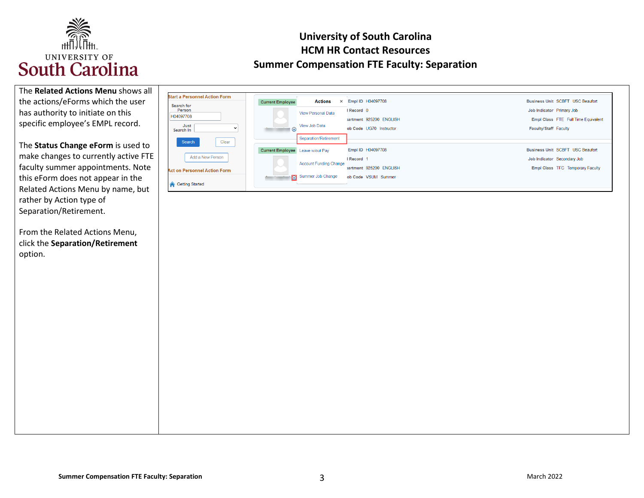

| The Related Actions Menu shows all |
|------------------------------------|
| the actions/eForms which the user  |
| has authority to initiate on this  |
| specific employee's EMPL record.   |

 The **Status Change eForm** is used to make changes to currently active FTE faculty summer appointments. Note Related Actions Menu by name, but rather by Action type of this eForm does not appear in the Separation/Retirement.

 From the Related Actions Menu, click the **Separation/Retirement**  option.

| <b>Start a Personnel Action Form</b><br>Search for | <b>Current Employee</b> | $\times$<br>Actions           | Empl ID H04097708       | Business Unit SCBFT USC Beaufort    |
|----------------------------------------------------|-------------------------|-------------------------------|-------------------------|-------------------------------------|
| Person                                             |                         | <b>View Personal Data</b>     | I Record 0              | Job Indicator Primary Job           |
| H04097708                                          | ∼                       |                               | vartment 925200 ENGLISH | Empl Class FTE Full Time Equivalent |
| Just<br>$\checkmark$<br>Search In                  | $\odot$                 | View Job Data                 | ob Code UG70 Instructor | Faculty/Staff Faculty               |
| Clear<br>Search                                    |                         | Separation/Retirement         |                         |                                     |
|                                                    | <b>Current Employee</b> | Leave w/out Pay               | Empl ID H04097708       | Business Unit SCBFT USC Beaufort    |
| Add a New Person                                   |                         |                               | I Record 1              | Job Indicator Secondary Job         |
| <b>Act on Personnel Action Form</b>                | <b>All Contracts</b>    | <b>Account Funding Change</b> | vartment 925200 ENGLISH | Empl Class TFC Temporary Faculty    |
|                                                    |                         | Summer Job Change             | ob Code VSUM Summer     |                                     |
| <b>Getting Started</b>                             |                         |                               |                         |                                     |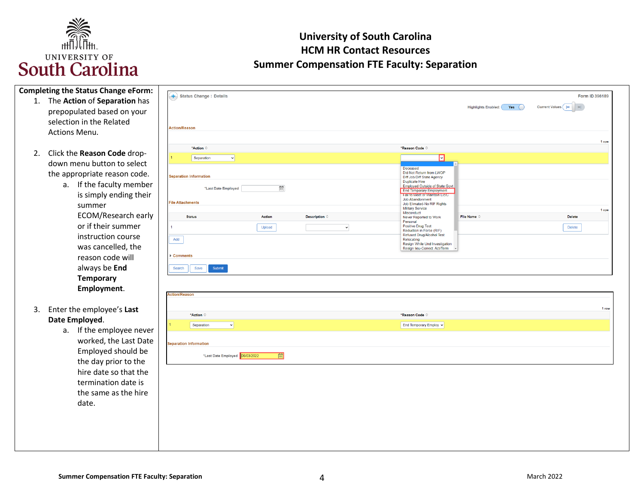

| <b>Completing the Status Change eForm:</b> |                                                          |                                                                                                |
|--------------------------------------------|----------------------------------------------------------|------------------------------------------------------------------------------------------------|
| 1. The Action of Separation has            | + Status Change : Details                                | Form ID 396189                                                                                 |
| prepopulated based on your                 |                                                          | Current Values    4<br>$\left\vert \mathbf{H}\right\vert$<br><b>Highlights Enabled:</b><br>Yes |
| selection in the Related                   |                                                          |                                                                                                |
| Actions Menu.                              | <b>Action/Reason</b>                                     |                                                                                                |
|                                            |                                                          | 1 row                                                                                          |
|                                            | *Action ©                                                | *Reason Code C                                                                                 |
| 2. Click the Reason Code drop-             | Separation<br>$\vee$                                     | П                                                                                              |
| down menu button to select                 |                                                          | Deceased<br>Did Not Return from LWOP                                                           |
| the appropriate reason code.               | <b>Separation Information</b>                            | Diff Job/Diff State Agency<br>Duplicate Hire                                                   |
| a. If the faculty member                   | $\overline{\text{m}}$<br>"Last Date Employed             | <b>Employed Outside of State Govt</b><br><b>End Temporary Employment</b>                       |
| is simply ending their                     |                                                          | <b>Fail to Meet or Maintain Lic/C</b><br>Job Abandonment                                       |
| summer                                     | <b>File Attachments</b>                                  | Job Elimated-No RIF Rights<br><b>Military Service</b><br>1 row                                 |
| <b>ECOM/Research early</b>                 | Description $\diamond$<br><b>Status</b><br><b>Action</b> | Misconduct<br>File Name ©<br><b>Delete</b><br>Never Reported to Work<br>Personal               |
| or if their summer                         | Upload<br>$\checkmark$                                   | <b>Positive Drug Test</b><br><b>Delete</b><br>Reduction in Force (RIF)                         |
| instruction course                         | Add                                                      | Refused Drug/Alcohol Test<br>Relocating                                                        |
| was cancelled, the                         |                                                          | Resign While Und Investigation<br>Resign lieu-Correct. Act/Term                                |
| reason code will                           | Comments                                                 |                                                                                                |
| always be End                              | Submit<br>Search<br>Save                                 |                                                                                                |
| <b>Temporary</b>                           |                                                          |                                                                                                |
| Employment.                                |                                                          |                                                                                                |
|                                            | <b>Action/Reason</b>                                     |                                                                                                |
| 3. Enter the employee's Last               |                                                          | 1 row                                                                                          |
| Date Employed.                             | *Action $\diamond$                                       | *Reason Code $\diamond$                                                                        |
| a. If the employee never                   | Separation<br>$\vee$                                     | End Temporary Employ v                                                                         |
| worked, the Last Date                      |                                                          |                                                                                                |
|                                            | <b>Separation Information</b>                            |                                                                                                |
| Employed should be                         | 画<br>*Last Date Employed 06/03/2022                      |                                                                                                |
| the day prior to the                       |                                                          |                                                                                                |
| hire date so that the                      |                                                          |                                                                                                |
| termination date is                        |                                                          |                                                                                                |
| the same as the hire                       |                                                          |                                                                                                |
| date.                                      |                                                          |                                                                                                |
|                                            |                                                          |                                                                                                |
|                                            |                                                          |                                                                                                |
|                                            |                                                          |                                                                                                |